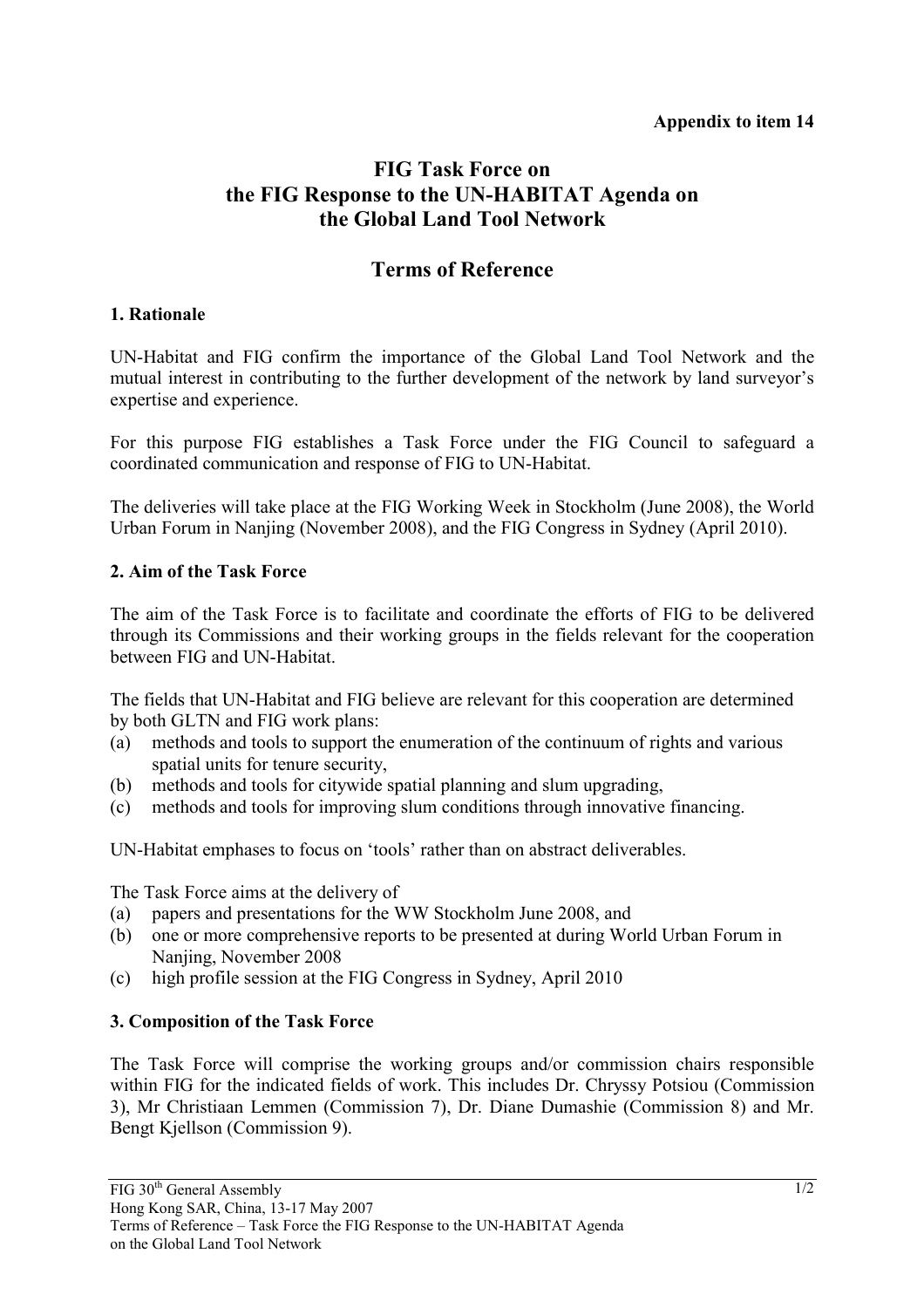#### **Appendix to item 14**

# **FIG Task Force on the FIG Response to the UN-HABITAT Agenda on the Global Land Tool Network**

## **Terms of Reference**

#### **1. Rationale**

UN-Habitat and FIG confirm the importance of the Global Land Tool Network and the mutual interest in contributing to the further development of the network by land surveyor's expertise and experience.

For this purpose FIG establishes a Task Force under the FIG Council to safeguard a coordinated communication and response of FIG to UN-Habitat.

The deliveries will take place at the FIG Working Week in Stockholm (June 2008), the World Urban Forum in Nanjing (November 2008), and the FIG Congress in Sydney (April 2010).

#### **2. Aim of the Task Force**

The aim of the Task Force is to facilitate and coordinate the efforts of FIG to be delivered through its Commissions and their working groups in the fields relevant for the cooperation between FIG and UN-Habitat.

The fields that UN-Habitat and FIG believe are relevant for this cooperation are determined by both GLTN and FIG work plans:

- (a) methods and tools to support the enumeration of the continuum of rights and various spatial units for tenure security,
- (b) methods and tools for citywide spatial planning and slum upgrading,
- (c) methods and tools for improving slum conditions through innovative financing.

UN-Habitat emphases to focus on 'tools' rather than on abstract deliverables.

The Task Force aims at the delivery of

- (a) papers and presentations for the WW Stockholm June 2008, and
- (b) one or more comprehensive reports to be presented at during World Urban Forum in Nanjing, November 2008
- (c) high profile session at the FIG Congress in Sydney, April 2010

#### **3. Composition of the Task Force**

The Task Force will comprise the working groups and/or commission chairs responsible within FIG for the indicated fields of work. This includes Dr. Chryssy Potsiou (Commission 3), Mr Christiaan Lemmen (Commission 7), Dr. Diane Dumashie (Commission 8) and Mr. Bengt Kjellson (Commission 9).